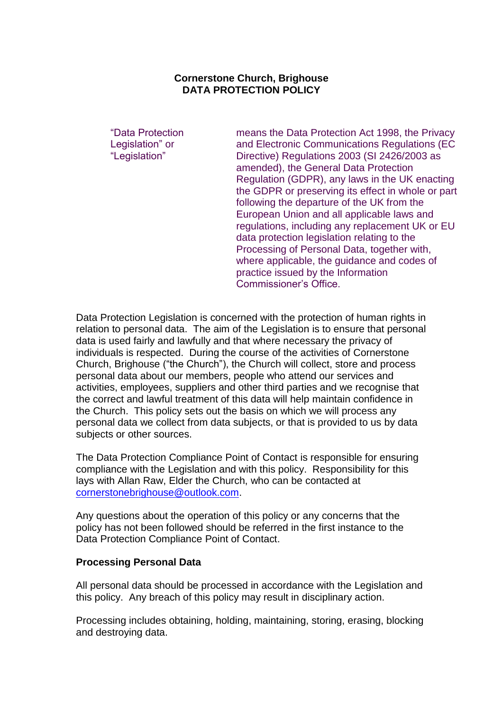## **Cornerstone Church, Brighouse DATA PROTECTION POLICY**

"Data Protection Legislation" or "Legislation"

means the Data Protection Act 1998, the Privacy and Electronic Communications Regulations (EC Directive) Regulations 2003 (SI 2426/2003 as amended), the General Data Protection Regulation (GDPR), any laws in the UK enacting the GDPR or preserving its effect in whole or part following the departure of the UK from the European Union and all applicable laws and regulations, including any replacement UK or EU data protection legislation relating to the Processing of Personal Data, together with, where applicable, the guidance and codes of practice issued by the Information Commissioner"s Office.

Data Protection Legislation is concerned with the protection of human rights in relation to personal data. The aim of the Legislation is to ensure that personal data is used fairly and lawfully and that where necessary the privacy of individuals is respected. During the course of the activities of Cornerstone Church, Brighouse ("the Church"), the Church will collect, store and process personal data about our members, people who attend our services and activities, employees, suppliers and other third parties and we recognise that the correct and lawful treatment of this data will help maintain confidence in the Church. This policy sets out the basis on which we will process any personal data we collect from data subjects, or that is provided to us by data subjects or other sources.

The Data Protection Compliance Point of Contact is responsible for ensuring compliance with the Legislation and with this policy. Responsibility for this lays with Allan Raw, Elder the Church, who can be contacted at [cornerstonebrighouse@outlook.com.](mailto:cornerstonebrighouse@outlook.com)

Any questions about the operation of this policy or any concerns that the policy has not been followed should be referred in the first instance to the Data Protection Compliance Point of Contact.

#### **Processing Personal Data**

All personal data should be processed in accordance with the Legislation and this policy. Any breach of this policy may result in disciplinary action.

Processing includes obtaining, holding, maintaining, storing, erasing, blocking and destroying data.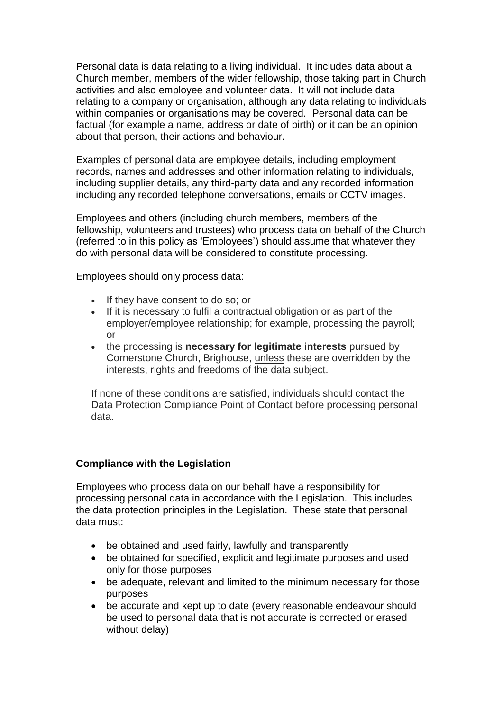Personal data is data relating to a living individual. It includes data about a Church member, members of the wider fellowship, those taking part in Church activities and also employee and volunteer data. It will not include data relating to a company or organisation, although any data relating to individuals within companies or organisations may be covered. Personal data can be factual (for example a name, address or date of birth) or it can be an opinion about that person, their actions and behaviour.

Examples of personal data are employee details, including employment records, names and addresses and other information relating to individuals, including supplier details, any third-party data and any recorded information including any recorded telephone conversations, emails or CCTV images.

Employees and others (including church members, members of the fellowship, volunteers and trustees) who process data on behalf of the Church (referred to in this policy as "Employees") should assume that whatever they do with personal data will be considered to constitute processing.

Employees should only process data:

- If they have consent to do so; or
- If it is necessary to fulfil a contractual obligation or as part of the employer/employee relationship; for example, processing the payroll; or
- the processing is **necessary for legitimate interests** pursued by Cornerstone Church, Brighouse, unless these are overridden by the interests, rights and freedoms of the data subject.

If none of these conditions are satisfied, individuals should contact the Data Protection Compliance Point of Contact before processing personal data.

# **Compliance with the Legislation**

Employees who process data on our behalf have a responsibility for processing personal data in accordance with the Legislation. This includes the data protection principles in the Legislation. These state that personal data must:

- be obtained and used fairly, lawfully and transparently
- be obtained for specified, explicit and legitimate purposes and used only for those purposes
- be adequate, relevant and limited to the minimum necessary for those purposes
- be accurate and kept up to date (every reasonable endeavour should be used to personal data that is not accurate is corrected or erased without delay)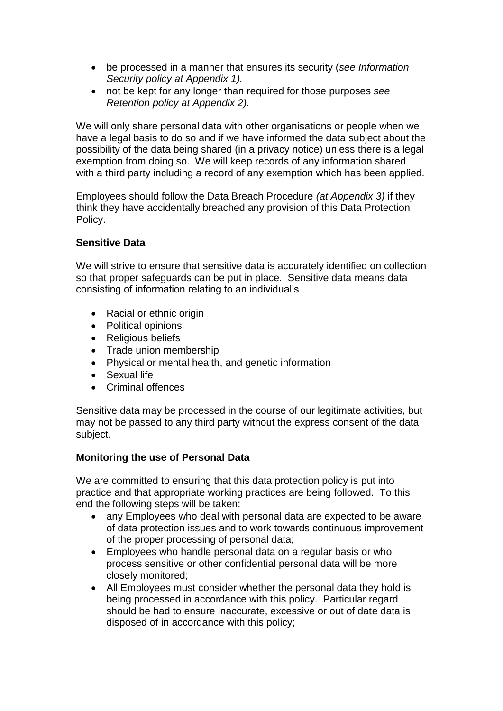- be processed in a manner that ensures its security (*see Information Security policy at Appendix 1).*
- not be kept for any longer than required for those purposes *see Retention policy at Appendix 2).*

We will only share personal data with other organisations or people when we have a legal basis to do so and if we have informed the data subject about the possibility of the data being shared (in a privacy notice) unless there is a legal exemption from doing so. We will keep records of any information shared with a third party including a record of any exemption which has been applied.

Employees should follow the Data Breach Procedure *(at Appendix 3)* if they think they have accidentally breached any provision of this Data Protection Policy.

## **Sensitive Data**

We will strive to ensure that sensitive data is accurately identified on collection so that proper safeguards can be put in place. Sensitive data means data consisting of information relating to an individual"s

- Racial or ethnic origin
- Political opinions
- Religious beliefs
- Trade union membership
- Physical or mental health, and genetic information
- Sexual life
- Criminal offences

Sensitive data may be processed in the course of our legitimate activities, but may not be passed to any third party without the express consent of the data subject.

### **Monitoring the use of Personal Data**

We are committed to ensuring that this data protection policy is put into practice and that appropriate working practices are being followed. To this end the following steps will be taken:

- any Employees who deal with personal data are expected to be aware of data protection issues and to work towards continuous improvement of the proper processing of personal data;
- Employees who handle personal data on a regular basis or who process sensitive or other confidential personal data will be more closely monitored;
- All Employees must consider whether the personal data they hold is being processed in accordance with this policy. Particular regard should be had to ensure inaccurate, excessive or out of date data is disposed of in accordance with this policy;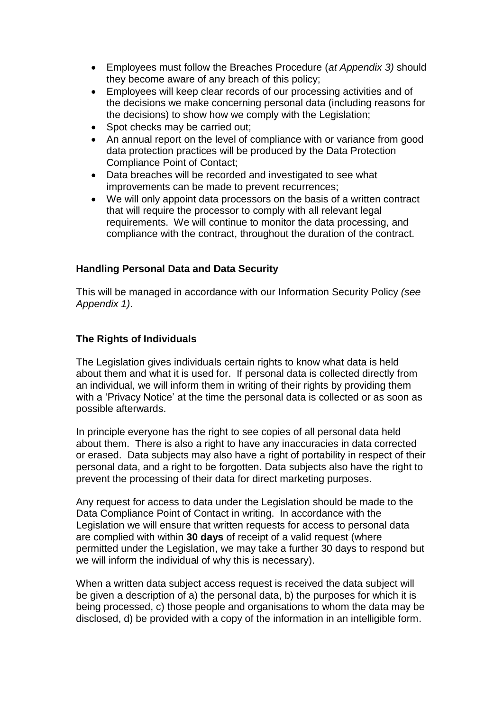- Employees must follow the Breaches Procedure (*at Appendix 3)* should they become aware of any breach of this policy;
- Employees will keep clear records of our processing activities and of the decisions we make concerning personal data (including reasons for the decisions) to show how we comply with the Legislation;
- Spot checks may be carried out;
- An annual report on the level of compliance with or variance from good data protection practices will be produced by the Data Protection Compliance Point of Contact;
- Data breaches will be recorded and investigated to see what improvements can be made to prevent recurrences;
- We will only appoint data processors on the basis of a written contract that will require the processor to comply with all relevant legal requirements. We will continue to monitor the data processing, and compliance with the contract, throughout the duration of the contract.

# **Handling Personal Data and Data Security**

This will be managed in accordance with our Information Security Policy *(see Appendix 1)*.

## **The Rights of Individuals**

The Legislation gives individuals certain rights to know what data is held about them and what it is used for. If personal data is collected directly from an individual, we will inform them in writing of their rights by providing them with a 'Privacy Notice' at the time the personal data is collected or as soon as possible afterwards.

In principle everyone has the right to see copies of all personal data held about them. There is also a right to have any inaccuracies in data corrected or erased. Data subjects may also have a right of portability in respect of their personal data, and a right to be forgotten. Data subjects also have the right to prevent the processing of their data for direct marketing purposes.

Any request for access to data under the Legislation should be made to the Data Compliance Point of Contact in writing. In accordance with the Legislation we will ensure that written requests for access to personal data are complied with within **30 days** of receipt of a valid request (where permitted under the Legislation, we may take a further 30 days to respond but we will inform the individual of why this is necessary).

When a written data subject access request is received the data subject will be given a description of a) the personal data, b) the purposes for which it is being processed, c) those people and organisations to whom the data may be disclosed, d) be provided with a copy of the information in an intelligible form.